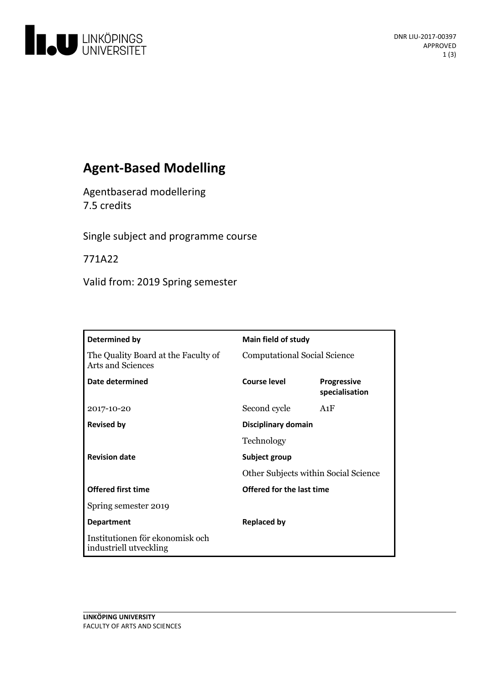

# **Agent-Based Modelling**

Agentbaserad modellering 7.5 credits

Single subject and programme course

771A22

Valid from: 2019 Spring semester

| Determined by                                                   | <b>Main field of study</b>           |                                      |
|-----------------------------------------------------------------|--------------------------------------|--------------------------------------|
| The Quality Board at the Faculty of<br><b>Arts and Sciences</b> | <b>Computational Social Science</b>  |                                      |
| Date determined                                                 | Course level                         | <b>Progressive</b><br>specialisation |
| 2017-10-20                                                      | Second cycle                         | A1F                                  |
| <b>Revised by</b>                                               | Disciplinary domain                  |                                      |
|                                                                 | Technology                           |                                      |
| <b>Revision date</b>                                            | Subject group                        |                                      |
|                                                                 | Other Subjects within Social Science |                                      |
| <b>Offered first time</b>                                       | Offered for the last time            |                                      |
| Spring semester 2019                                            |                                      |                                      |
| <b>Department</b>                                               | <b>Replaced by</b>                   |                                      |
| Institutionen för ekonomisk och<br>industriell utveckling       |                                      |                                      |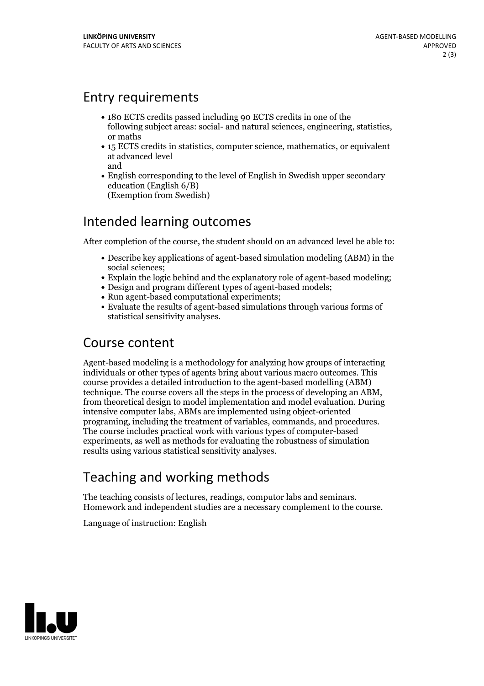#### Entry requirements

- 180 ECTS credits passed including 90 ECTS credits in one of the following subject areas: social- and natural sciences, engineering, statistics, or maths
- 15 ECTS credits in statistics, computer science, mathematics, or equivalent at advanced level and
- English corresponding to the level of English in Swedish upper secondary education (English 6/B) (Exemption from Swedish)

# Intended learning outcomes

After completion of the course, the student should on an advanced level be able to:

- Describe key applications of agent-based simulation modeling (ABM) in the social sciences;
- Explain the logic behind and the explanatory role of agent-based modeling;
- Design and program different types of agent-based models;
- Run agent-based computational experiments;
- Evaluate the results of agent-based simulations through various forms of statistical sensitivity analyses.

#### Course content

Agent-based modeling is a methodology for analyzing how groups of interacting individuals or other types of agents bring about various macro outcomes. This course provides a detailed introduction to the agent-based modelling (ABM) technique. The course covers all the steps in the process of developing an ABM, from theoretical design to model implementation and model evaluation. During intensive computer labs, ABMs are implemented using object-oriented programing, including the treatment of variables, commands, and procedures. The course includes practical work with various types of computer-based experiments, as well as methods for evaluating the robustness of simulation results using various statistical sensitivity analyses.

# Teaching and working methods

The teaching consists of lectures, readings, computor labs and seminars. Homework and independent studies are <sup>a</sup> necessary complement to the course.

Language of instruction: English